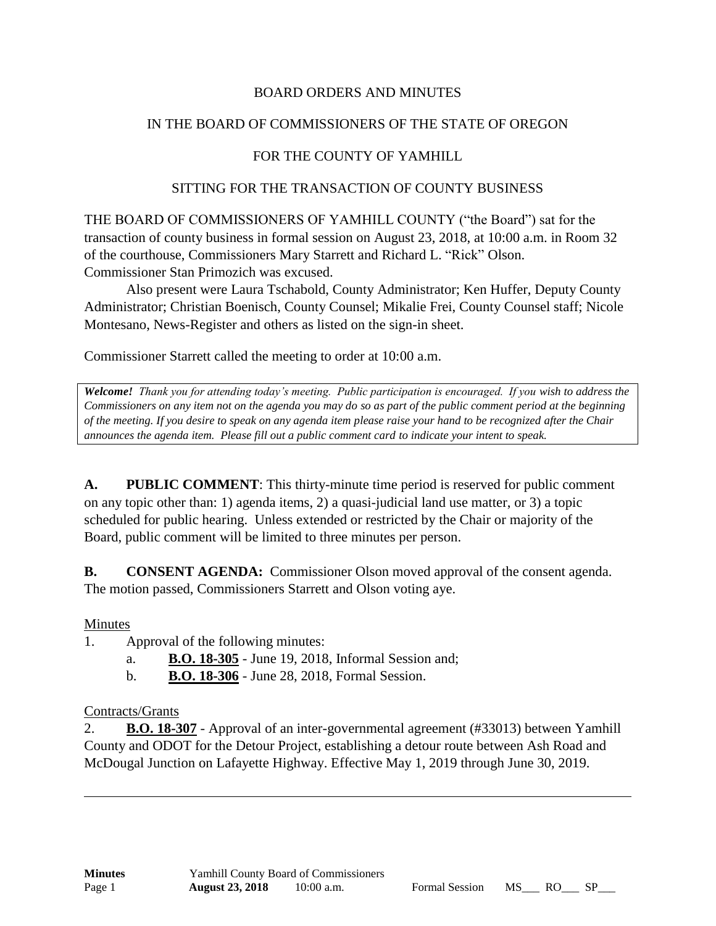## BOARD ORDERS AND MINUTES

## IN THE BOARD OF COMMISSIONERS OF THE STATE OF OREGON

# FOR THE COUNTY OF YAMHILL

#### SITTING FOR THE TRANSACTION OF COUNTY BUSINESS

THE BOARD OF COMMISSIONERS OF YAMHILL COUNTY ("the Board") sat for the transaction of county business in formal session on August 23, 2018, at 10:00 a.m. in Room 32 of the courthouse, Commissioners Mary Starrett and Richard L. "Rick" Olson. Commissioner Stan Primozich was excused.

Also present were Laura Tschabold, County Administrator; Ken Huffer, Deputy County Administrator; Christian Boenisch, County Counsel; Mikalie Frei, County Counsel staff; Nicole Montesano, News-Register and others as listed on the sign-in sheet.

Commissioner Starrett called the meeting to order at 10:00 a.m.

*Welcome! Thank you for attending today's meeting. Public participation is encouraged. If you wish to address the Commissioners on any item not on the agenda you may do so as part of the public comment period at the beginning of the meeting. If you desire to speak on any agenda item please raise your hand to be recognized after the Chair announces the agenda item. Please fill out a public comment card to indicate your intent to speak.*

**A. PUBLIC COMMENT**: This thirty-minute time period is reserved for public comment on any topic other than: 1) agenda items, 2) a quasi-judicial land use matter, or 3) a topic scheduled for public hearing. Unless extended or restricted by the Chair or majority of the Board, public comment will be limited to three minutes per person.

**B. CONSENT AGENDA:** Commissioner Olson moved approval of the consent agenda. The motion passed, Commissioners Starrett and Olson voting aye.

#### Minutes

1. Approval of the following minutes:

- a. **B.O. 18-305** June 19, 2018, Informal Session and;
- b. **B.O. 18-306** June 28, 2018, Formal Session.

#### Contracts/Grants

2. **B.O. 18-307** - Approval of an inter-governmental agreement (#33013) between Yamhill County and ODOT for the Detour Project, establishing a detour route between Ash Road and McDougal Junction on Lafayette Highway. Effective May 1, 2019 through June 30, 2019.